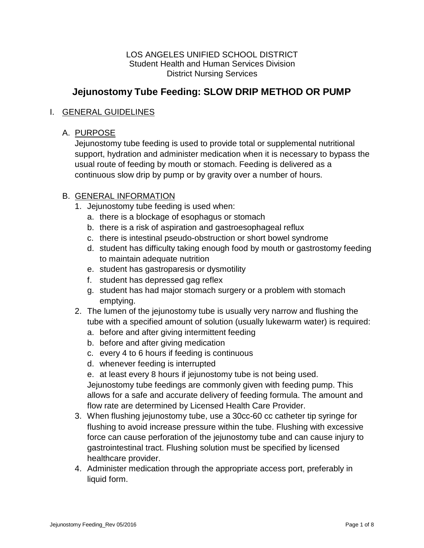#### LOS ANGELES UNIFIED SCHOOL DISTRICT Student Health and Human Services Division District Nursing Services

# **Jejunostomy Tube Feeding: SLOW DRIP METHOD OR PUMP**

#### I. GENERAL GUIDELINES

#### A. PURPOSE

Jejunostomy tube feeding is used to provide total or supplemental nutritional support, hydration and administer medication when it is necessary to bypass the usual route of feeding by mouth or stomach. Feeding is delivered as a continuous slow drip by pump or by gravity over a number of hours.

#### B. GENERAL INFORMATION

- 1. Jejunostomy tube feeding is used when:
	- a. there is a blockage of esophagus or stomach
	- b. there is a risk of aspiration and gastroesophageal reflux
	- c. there is intestinal pseudo-obstruction or short bowel syndrome
	- d. student has difficulty taking enough food by mouth or gastrostomy feeding to maintain adequate nutrition
	- e. student has gastroparesis or dysmotility
	- f. student has depressed gag reflex
	- g. student has had major stomach surgery or a problem with stomach emptying.
- 2. The lumen of the jejunostomy tube is usually very narrow and flushing the tube with a specified amount of solution (usually lukewarm water) is required:
	- a. before and after giving intermittent feeding
	- b. before and after giving medication
	- c. every 4 to 6 hours if feeding is continuous
	- d. whenever feeding is interrupted
	- e. at least every 8 hours if jejunostomy tube is not being used.

Jejunostomy tube feedings are commonly given with feeding pump. This allows for a safe and accurate delivery of feeding formula. The amount and flow rate are determined by Licensed Health Care Provider.

- 3. When flushing jejunostomy tube, use a 30cc-60 cc catheter tip syringe for flushing to avoid increase pressure within the tube. Flushing with excessive force can cause perforation of the jejunostomy tube and can cause injury to gastrointestinal tract. Flushing solution must be specified by licensed healthcare provider.
- 4. Administer medication through the appropriate access port, preferably in liquid form.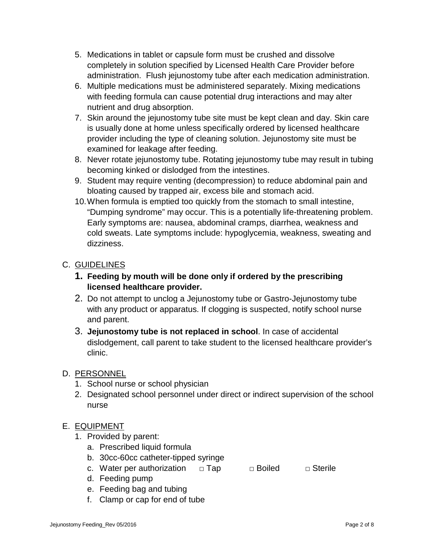- 5. Medications in tablet or capsule form must be crushed and dissolve completely in solution specified by Licensed Health Care Provider before administration. Flush jejunostomy tube after each medication administration.
- 6. Multiple medications must be administered separately. Mixing medications with feeding formula can cause potential drug interactions and may alter nutrient and drug absorption.
- 7. Skin around the jejunostomy tube site must be kept clean and day. Skin care is usually done at home unless specifically ordered by licensed healthcare provider including the type of cleaning solution. Jejunostomy site must be examined for leakage after feeding.
- 8. Never rotate jejunostomy tube. Rotating jejunostomy tube may result in tubing becoming kinked or dislodged from the intestines.
- 9. Student may require venting (decompression) to reduce abdominal pain and bloating caused by trapped air, excess bile and stomach acid.
- 10.When formula is emptied too quickly from the stomach to small intestine, "Dumping syndrome" may occur. This is a potentially life-threatening problem. Early symptoms are: nausea, abdominal cramps, diarrhea, weakness and cold sweats. Late symptoms include: hypoglycemia, weakness, sweating and dizziness.

## C. GUIDELINES

- **1. Feeding by mouth will be done only if ordered by the prescribing licensed healthcare provider.**
- 2. Do not attempt to unclog a Jejunostomy tube or Gastro-Jejunostomy tube with any product or apparatus. If clogging is suspected, notify school nurse and parent.
- 3. **Jejunostomy tube is not replaced in school**. In case of accidental dislodgement, call parent to take student to the licensed healthcare provider's clinic.

#### D. PERSONNEL

- 1. School nurse or school physician
- 2. Designated school personnel under direct or indirect supervision of the school nurse

#### E. EQUIPMENT

- 1. Provided by parent:
	- a. Prescribed liquid formula
	- b. 30cc-60cc catheter-tipped syringe
	- c. Water per authorization  $□$  Tap  $□$  Boiled  $□$  Sterile
	- d. Feeding pump
	- e. Feeding bag and tubing
	- f. Clamp or cap for end of tube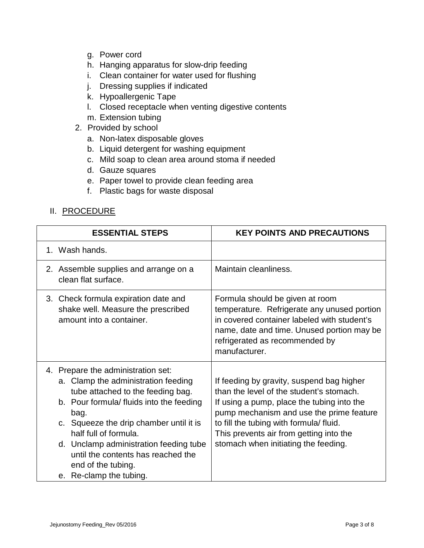- g. Power cord
- h. Hanging apparatus for slow-drip feeding
- i. Clean container for water used for flushing
- j. Dressing supplies if indicated
- k. Hypoallergenic Tape
- l. Closed receptacle when venting digestive contents
- m. Extension tubing
- 2. Provided by school
	- a. Non-latex disposable gloves
	- b. Liquid detergent for washing equipment
	- c. Mild soap to clean area around stoma if needed
	- d. Gauze squares
	- e. Paper towel to provide clean feeding area
	- f. Plastic bags for waste disposal

## II. PROCEDURE

| <b>ESSENTIAL STEPS</b>                                                                                                                                                                                                                                                                                                                                                  | <b>KEY POINTS AND PRECAUTIONS</b>                                                                                                                                                                                                                                                                            |
|-------------------------------------------------------------------------------------------------------------------------------------------------------------------------------------------------------------------------------------------------------------------------------------------------------------------------------------------------------------------------|--------------------------------------------------------------------------------------------------------------------------------------------------------------------------------------------------------------------------------------------------------------------------------------------------------------|
| 1. Wash hands.                                                                                                                                                                                                                                                                                                                                                          |                                                                                                                                                                                                                                                                                                              |
| 2. Assemble supplies and arrange on a<br>clean flat surface.                                                                                                                                                                                                                                                                                                            | Maintain cleanliness.                                                                                                                                                                                                                                                                                        |
| 3. Check formula expiration date and<br>shake well. Measure the prescribed<br>amount into a container.                                                                                                                                                                                                                                                                  | Formula should be given at room<br>temperature. Refrigerate any unused portion<br>in covered container labeled with student's<br>name, date and time. Unused portion may be<br>refrigerated as recommended by<br>manufacturer.                                                                               |
| 4. Prepare the administration set:<br>a. Clamp the administration feeding<br>tube attached to the feeding bag.<br>b. Pour formula/ fluids into the feeding<br>bag.<br>c. Squeeze the drip chamber until it is<br>half full of formula.<br>d. Unclamp administration feeding tube<br>until the contents has reached the<br>end of the tubing.<br>e. Re-clamp the tubing. | If feeding by gravity, suspend bag higher<br>than the level of the student's stomach.<br>If using a pump, place the tubing into the<br>pump mechanism and use the prime feature<br>to fill the tubing with formula/fluid.<br>This prevents air from getting into the<br>stomach when initiating the feeding. |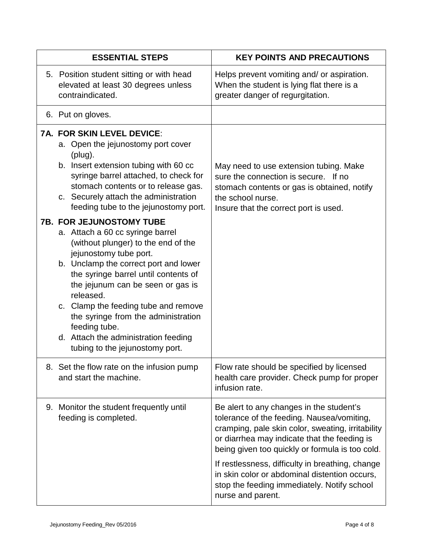| <b>ESSENTIAL STEPS</b> |                                                                                                                                                                                                                                                                                                                                                                                                                 | <b>KEY POINTS AND PRECAUTIONS</b>                                                                                                                                                                                                                                                                                                                                                                                       |
|------------------------|-----------------------------------------------------------------------------------------------------------------------------------------------------------------------------------------------------------------------------------------------------------------------------------------------------------------------------------------------------------------------------------------------------------------|-------------------------------------------------------------------------------------------------------------------------------------------------------------------------------------------------------------------------------------------------------------------------------------------------------------------------------------------------------------------------------------------------------------------------|
|                        | 5. Position student sitting or with head<br>elevated at least 30 degrees unless<br>contraindicated.                                                                                                                                                                                                                                                                                                             | Helps prevent vomiting and/ or aspiration.<br>When the student is lying flat there is a<br>greater danger of regurgitation.                                                                                                                                                                                                                                                                                             |
|                        | 6. Put on gloves.                                                                                                                                                                                                                                                                                                                                                                                               |                                                                                                                                                                                                                                                                                                                                                                                                                         |
|                        | <b>7A. FOR SKIN LEVEL DEVICE:</b><br>a. Open the jejunostomy port cover<br>(plug).<br>b. Insert extension tubing with 60 cc<br>syringe barrel attached, to check for<br>stomach contents or to release gas.<br>c. Securely attach the administration<br>feeding tube to the jejunostomy port.<br><b>7B. FOR JEJUNOSTOMY TUBE</b>                                                                                | May need to use extension tubing. Make<br>sure the connection is secure. If no<br>stomach contents or gas is obtained, notify<br>the school nurse.<br>Insure that the correct port is used.                                                                                                                                                                                                                             |
|                        | a. Attach a 60 cc syringe barrel<br>(without plunger) to the end of the<br>jejunostomy tube port.<br>b. Unclamp the correct port and lower<br>the syringe barrel until contents of<br>the jejunum can be seen or gas is<br>released.<br>c. Clamp the feeding tube and remove<br>the syringe from the administration<br>feeding tube.<br>d. Attach the administration feeding<br>tubing to the jejunostomy port. |                                                                                                                                                                                                                                                                                                                                                                                                                         |
|                        | 8. Set the flow rate on the infusion pump<br>and start the machine.                                                                                                                                                                                                                                                                                                                                             | Flow rate should be specified by licensed<br>health care provider. Check pump for proper<br>infusion rate.                                                                                                                                                                                                                                                                                                              |
|                        | 9. Monitor the student frequently until<br>feeding is completed.                                                                                                                                                                                                                                                                                                                                                | Be alert to any changes in the student's<br>tolerance of the feeding. Nausea/vomiting,<br>cramping, pale skin color, sweating, irritability<br>or diarrhea may indicate that the feeding is<br>being given too quickly or formula is too cold.<br>If restlessness, difficulty in breathing, change<br>in skin color or abdominal distention occurs,<br>stop the feeding immediately. Notify school<br>nurse and parent. |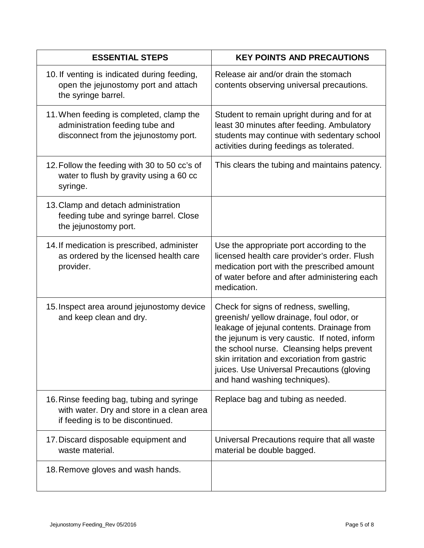| <b>ESSENTIAL STEPS</b>                                                                                                      | <b>KEY POINTS AND PRECAUTIONS</b>                                                                                                                                                                                                                                                                                                                           |
|-----------------------------------------------------------------------------------------------------------------------------|-------------------------------------------------------------------------------------------------------------------------------------------------------------------------------------------------------------------------------------------------------------------------------------------------------------------------------------------------------------|
| 10. If venting is indicated during feeding,<br>open the jejunostomy port and attach<br>the syringe barrel.                  | Release air and/or drain the stomach<br>contents observing universal precautions.                                                                                                                                                                                                                                                                           |
| 11. When feeding is completed, clamp the<br>administration feeding tube and<br>disconnect from the jejunostomy port.        | Student to remain upright during and for at<br>least 30 minutes after feeding. Ambulatory<br>students may continue with sedentary school<br>activities during feedings as tolerated.                                                                                                                                                                        |
| 12. Follow the feeding with 30 to 50 cc's of<br>water to flush by gravity using a 60 cc<br>syringe.                         | This clears the tubing and maintains patency.                                                                                                                                                                                                                                                                                                               |
| 13. Clamp and detach administration<br>feeding tube and syringe barrel. Close<br>the jejunostomy port.                      |                                                                                                                                                                                                                                                                                                                                                             |
| 14. If medication is prescribed, administer<br>as ordered by the licensed health care<br>provider.                          | Use the appropriate port according to the<br>licensed health care provider's order. Flush<br>medication port with the prescribed amount<br>of water before and after administering each<br>medication.                                                                                                                                                      |
| 15. Inspect area around jejunostomy device<br>and keep clean and dry.                                                       | Check for signs of redness, swelling,<br>greenish/yellow drainage, foul odor, or<br>leakage of jejunal contents. Drainage from<br>the jejunum is very caustic. If noted, inform<br>the school nurse. Cleansing helps prevent<br>skin irritation and excoriation from gastric<br>juices. Use Universal Precautions (gloving<br>and hand washing techniques). |
| 16. Rinse feeding bag, tubing and syringe<br>with water. Dry and store in a clean area<br>if feeding is to be discontinued. | Replace bag and tubing as needed.                                                                                                                                                                                                                                                                                                                           |
| 17. Discard disposable equipment and<br>waste material.                                                                     | Universal Precautions require that all waste<br>material be double bagged.                                                                                                                                                                                                                                                                                  |
| 18. Remove gloves and wash hands.                                                                                           |                                                                                                                                                                                                                                                                                                                                                             |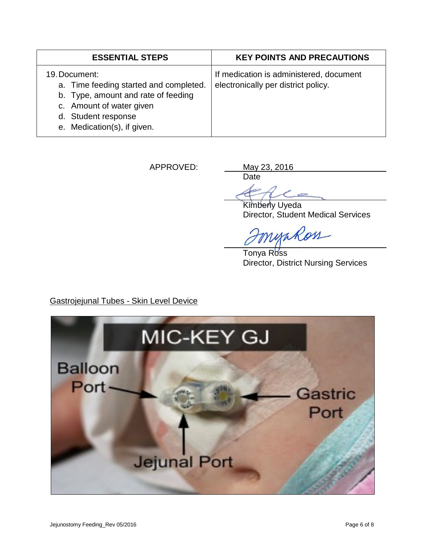| <b>ESSENTIAL STEPS</b>                                                                                                                                                           | <b>KEY POINTS AND PRECAUTIONS</b>                                              |
|----------------------------------------------------------------------------------------------------------------------------------------------------------------------------------|--------------------------------------------------------------------------------|
| 19. Document:<br>a. Time feeding started and completed.<br>b. Type, amount and rate of feeding<br>c. Amount of water given<br>d. Student response<br>e. Medication(s), if given. | If medication is administered, document<br>electronically per district policy. |

APPROVED: May 23, 2016

Date **CONT** 

Kimberly Uyeda Director, Student Medical Services

myakon

Tonya Ross Director, District Nursing Services

Gastrojejunal Tubes - Skin Level Device

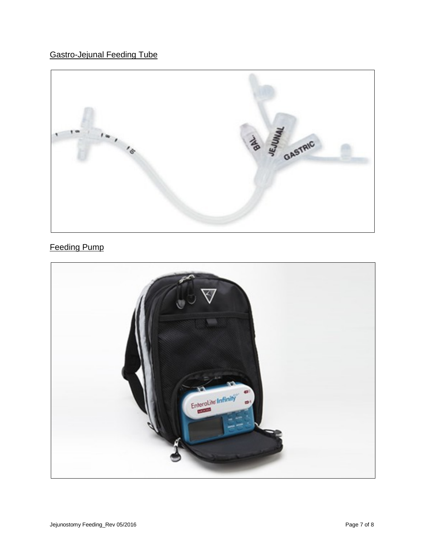

## Feeding Pump